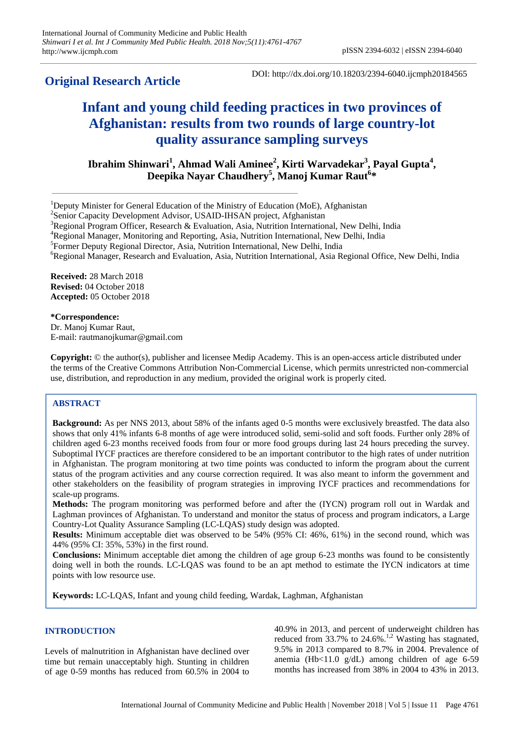**Original Research Article**

# **Infant and young child feeding practices in two provinces of Afghanistan: results from two rounds of large country-lot quality assurance sampling surveys**

**Ibrahim Shinwari<sup>1</sup> , Ahmad Wali Aminee<sup>2</sup> , Kirti Warvadekar<sup>3</sup> , Payal Gupta<sup>4</sup> , Deepika Nayar Chaudhery<sup>5</sup> , Manoj Kumar Raut<sup>6</sup> \***

<sup>3</sup>Regional Program Officer, Research & Evaluation, Asia, Nutrition International, New Delhi, India

<sup>6</sup>Regional Manager, Research and Evaluation, Asia, Nutrition International, Asia Regional Office, New Delhi, India

**Received:** 28 March 2018 **Revised:** 04 October 2018 **Accepted:** 05 October 2018

**\*Correspondence:** Dr. Manoj Kumar Raut, E-mail: rautmanojkumar@gmail.com

**Copyright:** © the author(s), publisher and licensee Medip Academy. This is an open-access article distributed under the terms of the Creative Commons Attribution Non-Commercial License, which permits unrestricted non-commercial use, distribution, and reproduction in any medium, provided the original work is properly cited.

## **ABSTRACT**

**Background:** As per NNS 2013, about 58% of the infants aged 0-5 months were exclusively breastfed. The data also shows that only 41% infants 6-8 months of age were introduced solid, semi-solid and soft foods. Further only 28% of children aged 6-23 months received foods from four or more food groups during last 24 hours preceding the survey. Suboptimal IYCF practices are therefore considered to be an important contributor to the high rates of under nutrition in Afghanistan. The program monitoring at two time points was conducted to inform the program about the current status of the program activities and any course correction required. It was also meant to inform the government and other stakeholders on the feasibility of program strategies in improving IYCF practices and recommendations for scale-up programs.

**Methods:** The program monitoring was performed before and after the (IYCN) program roll out in Wardak and Laghman provinces of Afghanistan. To understand and monitor the status of process and program indicators, a Large Country-Lot Quality Assurance Sampling (LC-LQAS) study design was adopted.

**Results:** Minimum acceptable diet was observed to be 54% (95% CI: 46%, 61%) in the second round, which was 44% (95% CI: 35%, 53%) in the first round.

**Conclusions:** Minimum acceptable diet among the children of age group 6-23 months was found to be consistently doing well in both the rounds. LC-LQAS was found to be an apt method to estimate the IYCN indicators at time points with low resource use.

**Keywords:** LC-LQAS, Infant and young child feeding, Wardak, Laghman, Afghanistan

# **INTRODUCTION**

Levels of malnutrition in Afghanistan have declined over time but remain unacceptably high. Stunting in children of age 0-59 months has reduced from 60.5% in 2004 to 40.9% in 2013, and percent of underweight children has reduced from  $33.7\%$  to  $24.6\%$ .<sup>1,2</sup> Wasting has stagnated, 9.5% in 2013 compared to 8.7% in 2004. Prevalence of anemia (Hb<11.0  $g/dL$ ) among children of age 6-59 months has increased from 38% in 2004 to 43% in 2013.

<sup>1</sup>Deputy Minister for General Education of the Ministry of Education (MoE), Afghanistan

<sup>&</sup>lt;sup>2</sup>Senior Capacity Development Advisor, USAID-IHSAN project, Afghanistan

<sup>4</sup>Regional Manager, Monitoring and Reporting, Asia, Nutrition International, New Delhi, India

<sup>&</sup>lt;sup>5</sup>Former Deputy Regional Director, Asia, Nutrition International, New Delhi, India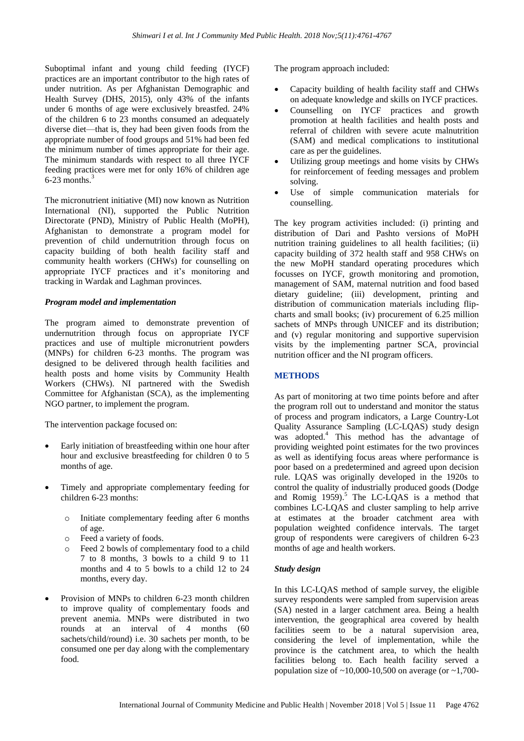Suboptimal infant and young child feeding (IYCF) practices are an important contributor to the high rates of under nutrition. As per Afghanistan Demographic and Health Survey (DHS, 2015), only 43% of the infants under 6 months of age were exclusively breastfed. 24% of the children 6 to 23 months consumed an adequately diverse diet—that is, they had been given foods from the appropriate number of food groups and 51% had been fed the minimum number of times appropriate for their age. The minimum standards with respect to all three IYCF feeding practices were met for only 16% of children age  $6-23$  months.<sup>3</sup>

The micronutrient initiative (MI) now known as Nutrition International (NI), supported the Public Nutrition Directorate (PND), Ministry of Public Health (MoPH), Afghanistan to demonstrate a program model for prevention of child undernutrition through focus on capacity building of both health facility staff and community health workers (CHWs) for counselling on appropriate IYCF practices and it's monitoring and tracking in Wardak and Laghman provinces.

#### *Program model and implementation*

The program aimed to demonstrate prevention of undernutrition through focus on appropriate IYCF practices and use of multiple micronutrient powders (MNPs) for children 6-23 months. The program was designed to be delivered through health facilities and health posts and home visits by Community Health Workers (CHWs). NI partnered with the Swedish Committee for Afghanistan (SCA), as the implementing NGO partner, to implement the program.

The intervention package focused on:

- Early initiation of breastfeeding within one hour after hour and exclusive breastfeeding for children 0 to 5 months of age.
- Timely and appropriate complementary feeding for children 6-23 months:
	- o Initiate complementary feeding after 6 months of age.
	- o Feed a variety of foods.
	- o Feed 2 bowls of complementary food to a child 7 to 8 months, 3 bowls to a child 9 to 11 months and 4 to 5 bowls to a child 12 to 24 months, every day.
- Provision of MNPs to children 6-23 month children to improve quality of complementary foods and prevent anemia. MNPs were distributed in two rounds at an interval of 4 months (60 sachets/child/round) i.e. 30 sachets per month, to be consumed one per day along with the complementary food.

The program approach included:

- Capacity building of health facility staff and CHWs on adequate knowledge and skills on IYCF practices.
- Counselling on IYCF practices and growth promotion at health facilities and health posts and referral of children with severe acute malnutrition (SAM) and medical complications to institutional care as per the guidelines.
- Utilizing group meetings and home visits by CHWs for reinforcement of feeding messages and problem solving.
- Use of simple communication materials for counselling.

The key program activities included: (i) printing and distribution of Dari and Pashto versions of MoPH nutrition training guidelines to all health facilities; (ii) capacity building of 372 health staff and 958 CHWs on the new MoPH standard operating procedures which focusses on IYCF, growth monitoring and promotion, management of SAM, maternal nutrition and food based dietary guideline; (iii) development, printing and distribution of communication materials including flipcharts and small books; (iv) procurement of 6.25 million sachets of MNPs through UNICEF and its distribution; and (v) regular monitoring and supportive supervision visits by the implementing partner SCA, provincial nutrition officer and the NI program officers.

## **METHODS**

As part of monitoring at two time points before and after the program roll out to understand and monitor the status of process and program indicators, a Large Country-Lot Quality Assurance Sampling (LC-LQAS) study design was adopted. <sup>4</sup> This method has the advantage of providing weighted point estimates for the two provinces as well as identifying focus areas where performance is poor based on a predetermined and agreed upon decision rule. LQAS was originally developed in the 1920s to control the quality of industrially produced goods (Dodge and Romig 1959). <sup>5</sup> The LC-LQAS is a method that combines LC-LQAS and cluster sampling to help arrive at estimates at the broader catchment area with population weighted confidence intervals. The target group of respondents were caregivers of children 6-23 months of age and health workers.

## *Study design*

In this LC-LQAS method of sample survey, the eligible survey respondents were sampled from supervision areas (SA) nested in a larger catchment area. Being a health intervention, the geographical area covered by health facilities seem to be a natural supervision area, considering the level of implementation, while the province is the catchment area, to which the health facilities belong to. Each health facility served a population size of  $\sim$ 10,000-10,500 on average (or  $\sim$ 1,700-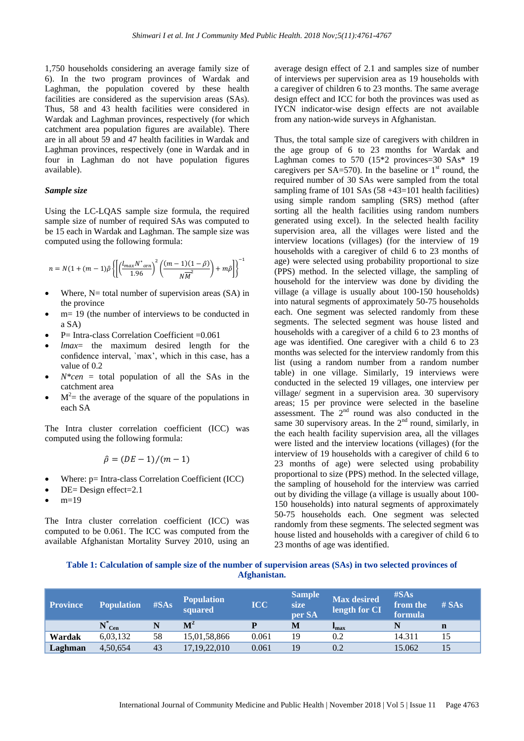1,750 households considering an average family size of 6). In the two program provinces of Wardak and Laghman, the population covered by these health facilities are considered as the supervision areas (SAs). Thus, 58 and 43 health facilities were considered in Wardak and Laghman provinces, respectively (for which catchment area population figures are available). There are in all about 59 and 47 health facilities in Wardak and Laghman provinces, respectively (one in Wardak and in four in Laghman do not have population figures available).

#### *Sample size*

Using the LC-LQAS sample size formula, the required sample size of number of required SAs was computed to be 15 each in Wardak and Laghman. The sample size was computed using the following formula:

$$
n=N(1+(m-1)\hat{\rho}\left\{\left[\left(\frac{l_{max}N^{*}_{cen}}{1.96}\right)^{2}\left(\frac{(m-1)(1-\hat{\rho})}{N\overline{M}^{2}}\right)+m\hat{\rho}\right]\right\}^{-1}
$$

- Where,  $N=$  total number of supervision areas  $(SA)$  in the province
- m= 19 (the number of interviews to be conducted in a SA)
- P= Intra-class Correlation Coefficient =0.061
- *lmax*= the maximum desired length for the confidence interval, `max', which in this case, has a value of 0.2
- *N\*cen* = total population of all the SAs in the catchment area
- $\bullet$   $M^2$  = the average of the square of the populations in each SA

The Intra cluster correlation coefficient (ICC) was computed using the following formula:

$$
\hat{\rho} = (DE - 1)/(m - 1)
$$

- Where: p= Intra-class Correlation Coefficient (ICC)
- DE= Design effect=2.1
- $m=19$

The Intra cluster correlation coefficient (ICC) was computed to be 0.061. The ICC was computed from the available Afghanistan Mortality Survey 2010, using an average design effect of 2.1 and samples size of number of interviews per supervision area as 19 households with a caregiver of children 6 to 23 months. The same average design effect and ICC for both the provinces was used as IYCN indicator-wise design effects are not available from any nation-wide surveys in Afghanistan.

Thus, the total sample size of caregivers with children in the age group of 6 to 23 months for Wardak and Laghman comes to 570  $(15*2$  provinces=30 SAs\* 19 caregivers per  $SA = 570$ . In the baseline or  $1<sup>st</sup>$  round, the required number of 30 SAs were sampled from the total sampling frame of 101 SAs  $(58 + 43 = 101$  health facilities) using simple random sampling (SRS) method (after sorting all the health facilities using random numbers generated using excel). In the selected health facility supervision area, all the villages were listed and the interview locations (villages) (for the interview of 19 households with a caregiver of child 6 to 23 months of age) were selected using probability proportional to size (PPS) method. In the selected village, the sampling of household for the interview was done by dividing the village (a village is usually about 100-150 households) into natural segments of approximately 50-75 households each. One segment was selected randomly from these segments. The selected segment was house listed and households with a caregiver of a child 6 to 23 months of age was identified. One caregiver with a child 6 to 23 months was selected for the interview randomly from this list (using a random number from a random number table) in one village. Similarly, 19 interviews were conducted in the selected 19 villages, one interview per village/ segment in a supervision area. 30 supervisory areas; 15 per province were selected in the baseline assessment. The  $2<sup>nd</sup>$  round was also conducted in the same 30 supervisory areas. In the  $2<sup>nd</sup>$  round, similarly, in the each health facility supervision area, all the villages were listed and the interview locations (villages) (for the interview of 19 households with a caregiver of child 6 to 23 months of age) were selected using probability proportional to size (PPS) method. In the selected village, the sampling of household for the interview was carried out by dividing the village (a village is usually about 100- 150 households) into natural segments of approximately 50-75 households each. One segment was selected randomly from these segments. The selected segment was house listed and households with a caregiver of child 6 to 23 months of age was identified.

## **Table 1: Calculation of sample size of the number of supervision areas (SAs) in two selected provinces of Afghanistan.**

| <b>Province</b> | <b>Population</b> | $\#SAs$ | <b>Population</b><br>squared | <b>ICC</b> | <b>Sample</b><br>size<br>per SA | <b>Max desired</b><br>length for CI | $\#SAs$<br>from the<br>formula | $#$ SAs |
|-----------------|-------------------|---------|------------------------------|------------|---------------------------------|-------------------------------------|--------------------------------|---------|
|                 | $N_{\text{Cen}}$  |         | $\mathbf{M}^2$               |            | M                               | <b>I</b> max                        |                                | n       |
| Wardak          | 6,03,132          | 58      | 15,01,58,866                 | 0.061      | 19                              | 0.2                                 | 14.311                         |         |
| Laghman         | 4,50,654          | 43      | 17, 19, 22, 010              | 0.061      | 19                              | 0.2                                 | 15.062                         |         |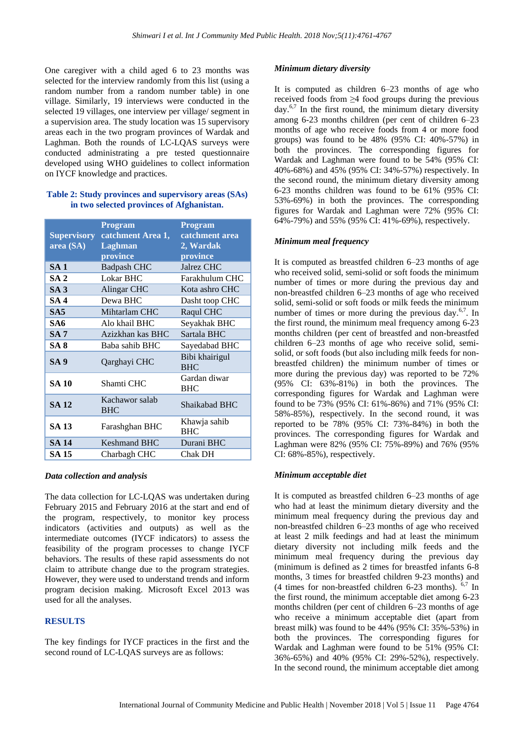One caregiver with a child aged 6 to 23 months was selected for the interview randomly from this list (using a random number from a random number table) in one village. Similarly, 19 interviews were conducted in the selected 19 villages, one interview per village/ segment in a supervision area. The study location was 15 supervisory areas each in the two program provinces of Wardak and Laghman. Both the rounds of LC-LQAS surveys were conducted administrating a pre tested questionnaire developed using WHO guidelines to collect information on IYCF knowledge and practices.

## **Table 2: Study provinces and supervisory areas (SAs) in two selected provinces of Afghanistan.**

| <b>Supervisory</b><br>area (SA) | <b>Program</b><br>catchment Area 1,<br>Laghman<br>province | <b>Program</b><br>catchment area<br>2, Wardak<br>province |
|---------------------------------|------------------------------------------------------------|-----------------------------------------------------------|
| <b>SA 1</b>                     | <b>Badpash CHC</b>                                         | Jalrez CHC                                                |
| SA <sub>2</sub>                 | <b>Lokar BHC</b>                                           | Farakhulum CHC                                            |
| SA3                             | Alingar CHC                                                | Kota ashro CHC                                            |
| SA 4                            | Dewa BHC                                                   | Dasht toop CHC                                            |
| SA5                             | Mihtarlam CHC                                              | Raqul CHC                                                 |
| SA6                             | Alo khail BHC                                              | Seyakhak BHC                                              |
| <b>SA 7</b>                     | Azizkhan kas BHC                                           | Sartala BHC                                               |
| SA 8                            | Baba sahib BHC                                             | Sayedabad BHC                                             |
| <b>SA 9</b>                     | Qarghayi CHC                                               | Bibi khairigul<br><b>BHC</b>                              |
| <b>SA 10</b>                    | Shamti CHC                                                 | Gardan diwar<br><b>BHC</b>                                |
| <b>SA 12</b>                    | Kachawor salab<br><b>BHC</b>                               | Shaikabad BHC                                             |
| <b>SA 13</b>                    | Farashghan BHC                                             | Khawja sahib<br><b>BHC</b>                                |
| <b>SA 14</b>                    | <b>Keshmand BHC</b>                                        | Durani BHC                                                |
| SA 15                           | Charbagh CHC                                               | Chak DH                                                   |

## *Data collection and analysis*

The data collection for LC-LQAS was undertaken during February 2015 and February 2016 at the start and end of the program, respectively, to monitor key process indicators (activities and outputs) as well as the intermediate outcomes (IYCF indicators) to assess the feasibility of the program processes to change IYCF behaviors. The results of these rapid assessments do not claim to attribute change due to the program strategies. However, they were used to understand trends and inform program decision making. Microsoft Excel 2013 was used for all the analyses.

## **RESULTS**

The key findings for IYCF practices in the first and the second round of LC-LQAS surveys are as follows:

#### *Minimum dietary diversity*

It is computed as children 6–23 months of age who received foods from ≥4 food groups during the previous day.6,7 In the first round, the minimum dietary diversity among 6-23 months children (per cent of children 6–23 months of age who receive foods from 4 or more food groups) was found to be 48% (95% CI: 40%-57%) in both the provinces. The corresponding figures for Wardak and Laghman were found to be 54% (95% CI: 40%-68%) and 45% (95% CI: 34%-57%) respectively. In the second round, the minimum dietary diversity among 6-23 months children was found to be 61% (95% CI: 53%-69%) in both the provinces. The corresponding figures for Wardak and Laghman were 72% (95% CI: 64%-79%) and 55% (95% CI: 41%-69%), respectively.

#### *Minimum meal frequency*

It is computed as breastfed children 6–23 months of age who received solid, semi-solid or soft foods the minimum number of times or more during the previous day and non-breastfed children 6–23 months of age who received solid, semi-solid or soft foods or milk feeds the minimum number of times or more during the previous day. $6,7$ . In the first round, the minimum meal frequency among 6-23 months children (per cent of breastfed and non-breastfed children 6–23 months of age who receive solid, semisolid, or soft foods (but also including milk feeds for nonbreastfed children) the minimum number of times or more during the previous day) was reported to be 72% (95% CI: 63%-81%) in both the provinces. The corresponding figures for Wardak and Laghman were found to be 73% (95% CI: 61%-86%) and 71% (95% CI: 58%-85%), respectively. In the second round, it was reported to be 78% (95% CI: 73%-84%) in both the provinces. The corresponding figures for Wardak and Laghman were 82% (95% CI: 75%-89%) and 76% (95% CI: 68%-85%), respectively.

## *Minimum acceptable diet*

It is computed as breastfed children 6–23 months of age who had at least the minimum dietary diversity and the minimum meal frequency during the previous day and non-breastfed children 6–23 months of age who received at least 2 milk feedings and had at least the minimum dietary diversity not including milk feeds and the minimum meal frequency during the previous day (minimum is defined as 2 times for breastfed infants 6-8 months, 3 times for breastfed children 9-23 months) and (4 times for non-breastfed children 6-23 months). 6,7 In the first round, the minimum acceptable diet among 6-23 months children (per cent of children 6–23 months of age who receive a minimum acceptable diet (apart from breast milk) was found to be 44% (95% CI: 35%-53%) in both the provinces. The corresponding figures for Wardak and Laghman were found to be 51% (95% CI: 36%-65%) and 40% (95% CI: 29%-52%), respectively. In the second round, the minimum acceptable diet among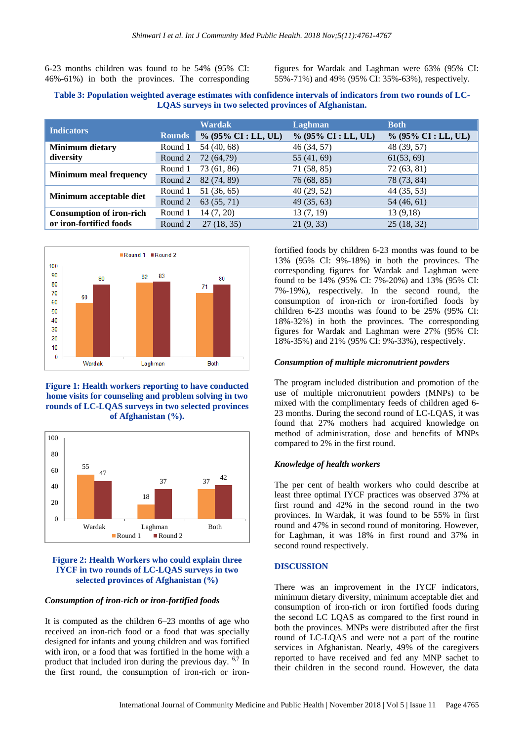6-23 months children was found to be 54% (95% CI: 46%-61%) in both the provinces. The corresponding figures for Wardak and Laghman were 63% (95% CI: 55%-71%) and 49% (95% CI: 35%-63%), respectively.

#### **Table 3: Population weighted average estimates with confidence intervals of indicators from two rounds of LC-LQAS surveys in two selected provinces of Afghanistan.**

| <b>Indicators</b>               |               | <b>Wardak</b>         | Laghman               | <b>Both</b>            |
|---------------------------------|---------------|-----------------------|-----------------------|------------------------|
|                                 | <b>Rounds</b> | $% (95\% CI: LL, UL)$ | $% (95\% CI: LL, UL)$ | $\%$ (95% CI : LL, UL) |
| <b>Minimum dietary</b>          | Round 1       | 54 (40, 68)           | 46(34, 57)            | 48 (39, 57)            |
| diversity                       | Round 2       | 72 (64,79)            | 55 (41, 69)           | 61(53, 69)             |
|                                 | Round 1       | 73 (61, 86)           | 71(58, 85)            | 72(63, 81)             |
| <b>Minimum meal frequency</b>   | Round 2       | 82 (74, 89)           | 76 (68, 85)           | 78 (73, 84)            |
| Minimum acceptable diet         | Round 1       | 51 (36, 65)           | 40(29, 52)            | 44 (35, 53)            |
|                                 | Round 2       | 63 (55, 71)           | 49(35, 63)            | 54 (46, 61)            |
| <b>Consumption of iron-rich</b> | Round 1       | 14(7, 20)             | 13(7, 19)             | 13(9,18)               |
| or iron-fortified foods         | Round 2       | 27(18, 35)            | 21(9, 33)             | 25(18, 32)             |



#### **Figure 1: Health workers reporting to have conducted home visits for counseling and problem solving in two rounds of LC-LQAS surveys in two selected provinces of Afghanistan (%).**



#### **Figure 2: Health Workers who could explain three IYCF in two rounds of LC-LQAS surveys in two selected provinces of Afghanistan (%)**

## *Consumption of iron-rich or iron-fortified foods*

It is computed as the children 6–23 months of age who received an iron-rich food or a food that was specially designed for infants and young children and was fortified with iron, or a food that was fortified in the home with a product that included iron during the previous day. 6,7 In the first round, the consumption of iron-rich or ironfortified foods by children 6-23 months was found to be 13% (95% CI: 9%-18%) in both the provinces. The corresponding figures for Wardak and Laghman were found to be 14% (95% CI: 7%-20%) and 13% (95% CI: 7%-19%), respectively. In the second round, the consumption of iron-rich or iron-fortified foods by children 6-23 months was found to be 25% (95% CI: 18%-32%) in both the provinces. The corresponding figures for Wardak and Laghman were 27% (95% CI: 18%-35%) and 21% (95% CI: 9%-33%), respectively.

#### *Consumption of multiple micronutrient powders*

The program included distribution and promotion of the use of multiple micronutrient powders (MNPs) to be mixed with the complimentary feeds of children aged 6- 23 months. During the second round of LC-LQAS, it was found that 27% mothers had acquired knowledge on method of administration, dose and benefits of MNPs compared to 2% in the first round.

#### *Knowledge of health workers*

The per cent of health workers who could describe at least three optimal IYCF practices was observed 37% at first round and 42% in the second round in the two provinces. In Wardak, it was found to be 55% in first round and 47% in second round of monitoring. However, for Laghman, it was 18% in first round and 37% in second round respectively.

#### **DISCUSSION**

There was an improvement in the IYCF indicators, minimum dietary diversity, minimum acceptable diet and consumption of iron-rich or iron fortified foods during the second LC LQAS as compared to the first round in both the provinces. MNPs were distributed after the first round of LC-LQAS and were not a part of the routine services in Afghanistan. Nearly, 49% of the caregivers reported to have received and fed any MNP sachet to their children in the second round. However, the data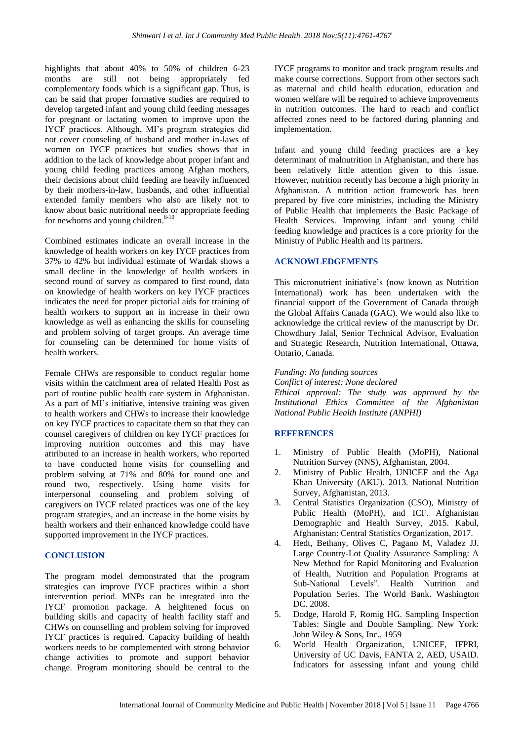highlights that about 40% to 50% of children 6-23 months are still not being appropriately fed complementary foods which is a significant gap. Thus, is can be said that proper formative studies are required to develop targeted infant and young child feeding messages for pregnant or lactating women to improve upon the IYCF practices. Although, MI's program strategies did not cover counseling of husband and mother in-laws of women on IYCF practices but studies shows that in addition to the lack of knowledge about proper infant and young child feeding practices among Afghan mothers, their decisions about child feeding are heavily influenced by their mothers-in-law, husbands, and other influential extended family members who also are likely not to know about basic nutritional needs or appropriate feeding for newborns and young children.<sup>8-10</sup>

Combined estimates indicate an overall increase in the knowledge of health workers on key IYCF practices from 37% to 42% but individual estimate of Wardak shows a small decline in the knowledge of health workers in second round of survey as compared to first round, data on knowledge of health workers on key IYCF practices indicates the need for proper pictorial aids for training of health workers to support an in increase in their own knowledge as well as enhancing the skills for counseling and problem solving of target groups. An average time for counseling can be determined for home visits of health workers.

Female CHWs are responsible to conduct regular home visits within the catchment area of related Health Post as part of routine public health care system in Afghanistan. As a part of MI's initiative, intensive training was given to health workers and CHWs to increase their knowledge on key IYCF practices to capacitate them so that they can counsel caregivers of children on key IYCF practices for improving nutrition outcomes and this may have attributed to an increase in health workers, who reported to have conducted home visits for counselling and problem solving at 71% and 80% for round one and round two, respectively. Using home visits for interpersonal counseling and problem solving of caregivers on IYCF related practices was one of the key program strategies, and an increase in the home visits by health workers and their enhanced knowledge could have supported improvement in the IYCF practices.

## **CONCLUSION**

The program model demonstrated that the program strategies can improve IYCF practices within a short intervention period. MNPs can be integrated into the IYCF promotion package. A heightened focus on building skills and capacity of health facility staff and CHWs on counselling and problem solving for improved IYCF practices is required. Capacity building of health workers needs to be complemented with strong behavior change activities to promote and support behavior change. Program monitoring should be central to the

IYCF programs to monitor and track program results and make course corrections. Support from other sectors such as maternal and child health education, education and women welfare will be required to achieve improvements in nutrition outcomes. The hard to reach and conflict affected zones need to be factored during planning and implementation.

Infant and young child feeding practices are a key determinant of malnutrition in Afghanistan, and there has been relatively little attention given to this issue. However, nutrition recently has become a high priority in Afghanistan. A nutrition action framework has been prepared by five core ministries, including the Ministry of Public Health that implements the Basic Package of Health Services. Improving infant and young child feeding knowledge and practices is a core priority for the Ministry of Public Health and its partners.

#### **ACKNOWLEDGEMENTS**

This micronutrient initiative's (now known as Nutrition International) work has been undertaken with the financial support of the Government of Canada through the Global Affairs Canada (GAC). We would also like to acknowledge the critical review of the manuscript by Dr. Chowdhury Jalal, Senior Technical Advisor, Evaluation and Strategic Research, Nutrition International, Ottawa, Ontario, Canada.

*Funding: No funding sources*

*Conflict of interest: None declared*

*Ethical approval: The study was approved by the Institutional Ethics Committee of the Afghanistan National Public Health Institute (ANPHI)*

#### **REFERENCES**

- 1. Ministry of Public Health (MoPH), National Nutrition Survey (NNS), Afghanistan, 2004.
- 2. Ministry of Public Health, UNICEF and the Aga Khan University (AKU). 2013. National Nutrition Survey, Afghanistan, 2013.
- 3. Central Statistics Organization (CSO), Ministry of Public Health (MoPH), and ICF. Afghanistan Demographic and Health Survey, 2015. Kabul, Afghanistan: Central Statistics Organization, 2017.
- 4. Hedt, Bethany, Olives C, Pagano M, Valadez JJ. Large Country-Lot Quality Assurance Sampling: A New Method for Rapid Monitoring and Evaluation of Health, Nutrition and Population Programs at Sub-National Levels". Health Nutrition and Population Series. The World Bank. Washington DC. 2008.
- 5. Dodge, Harold F, Romig HG. Sampling Inspection Tables: Single and Double Sampling. New York: John Wiley & Sons, Inc., 1959
- 6. World Health Organization, UNICEF, IFPRI, University of UC Davis, FANTA 2, AED, USAID. Indicators for assessing infant and young child